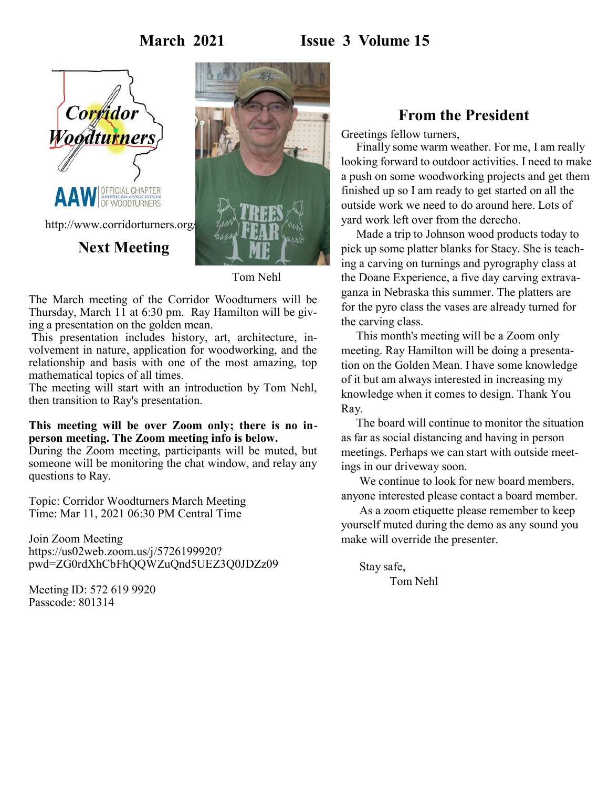# **March 2021 Issue 3 Volume 15**





Tom Nehl

The March meeting of the Corridor Woodturners will be Thursday, March 11 at 6:30 pm. Ray Hamilton will be giving a presentation on the golden mean.

This presentation includes history, art, architecture, involvement in nature, application for woodworking, and the relationship and basis with one of the most amazing, top mathematical topics of all times.

The meeting will start with an introduction by Tom Nehl, then transition to Ray's presentation.

#### **This meeting will be over Zoom only; there is no inperson meeting. The Zoom meeting info is below.**

During the Zoom meeting, participants will be muted, but someone will be monitoring the chat window, and relay any questions to Ray.

Topic: Corridor Woodturners March Meeting Time: Mar 11, 2021 06:30 PM Central Time

Join Zoom Meeting https://us02web.zoom.us/j/5726199920? pwd=ZG0rdXhCbFhQQWZuQnd5UEZ3Q0JDZz09

Meeting ID: 572 619 9920 Passcode: 801314

# **From the President**

Greetings fellow turners,

Finally some warm weather. For me, I am really looking forward to outdoor activities. I need to make a push on some woodworking projects and get them finished up so I am ready to get started on all the outside work we need to do around here. Lots of yard work left over from the derecho.

Made a trip to Johnson wood products today to pick up some platter blanks for Stacy. She is teaching a carving on turnings and pyrography class at the Doane Experience, a five day carving extravaganza in Nebraska this summer. The platters are for the pyro class the vases are already turned for the carving class.

This month's meeting will be a Zoom only meeting. Ray Hamilton will be doing a presentation on the Golden Mean. I have some knowledge of it but am always interested in increasing my knowledge when it comes to design. Thank You Ray.

The board will continue to monitor the situation as far as social distancing and having in person meetings. Perhaps we can start with outside meetings in our driveway soon.

We continue to look for new board members, anyone interested please contact a board member.

As a zoom etiquette please remember to keep yourself muted during the demo as any sound you make will override the presenter.

Stay safe, Tom Nehl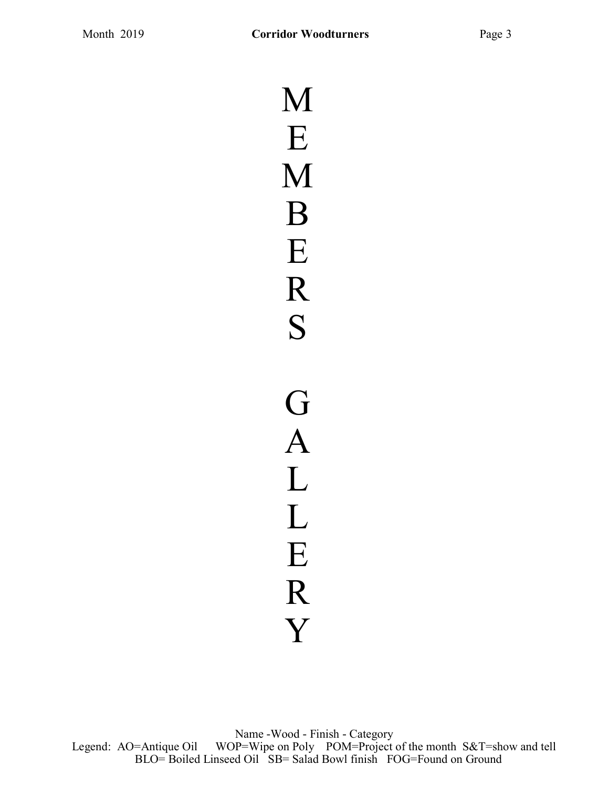M E M B E R S G A L L E R Y

Name -Wood - Finish - Category Legend: AO=Antique Oil WOP=Wipe on Poly POM=Project of the month S&T=show and tell BLO= Boiled Linseed Oil SB= Salad Bowl finish FOG=Found on Ground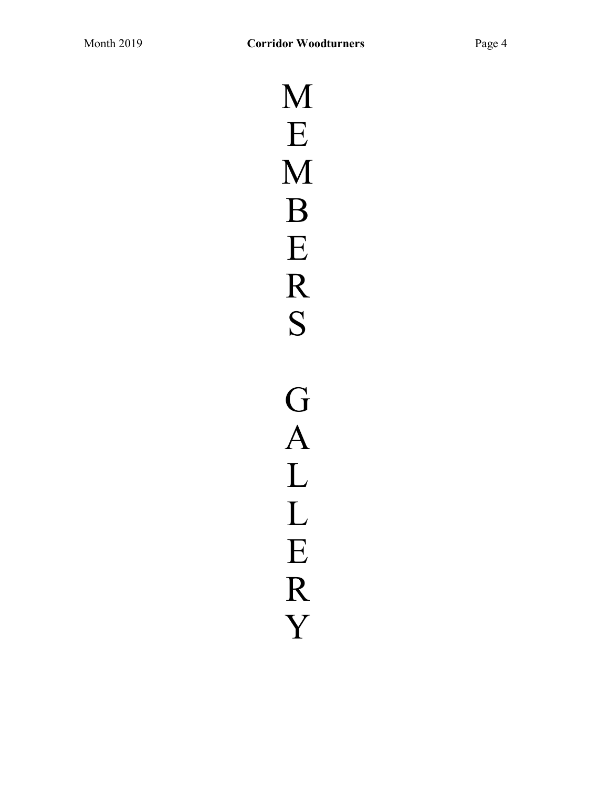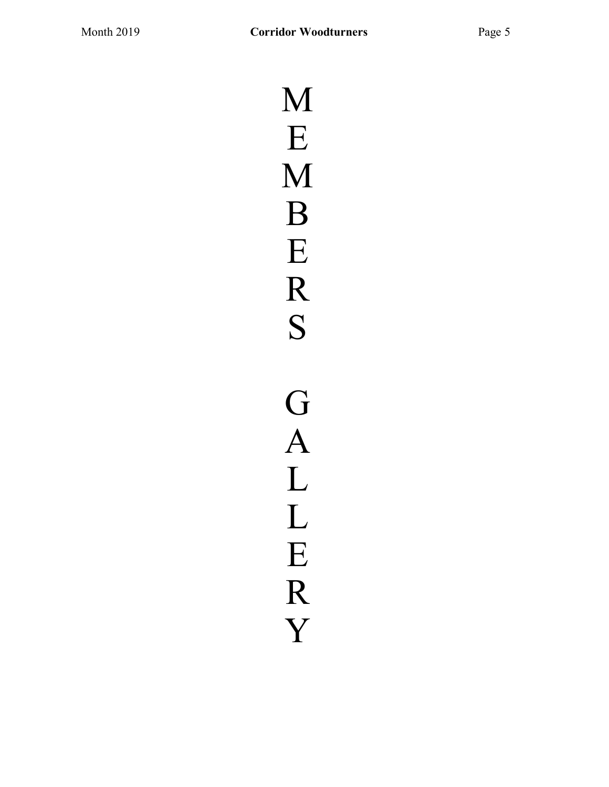M E M B E R S G A L L E R Y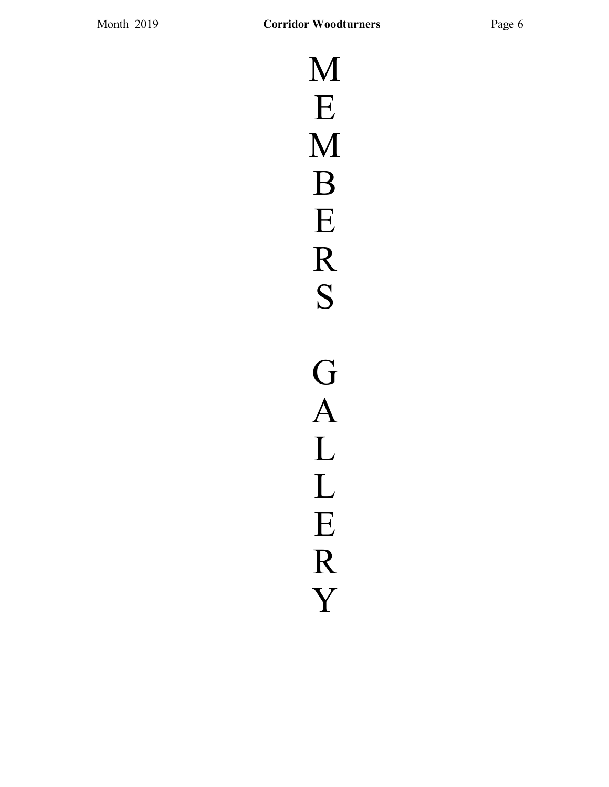M E M B E R S G A L L E R Y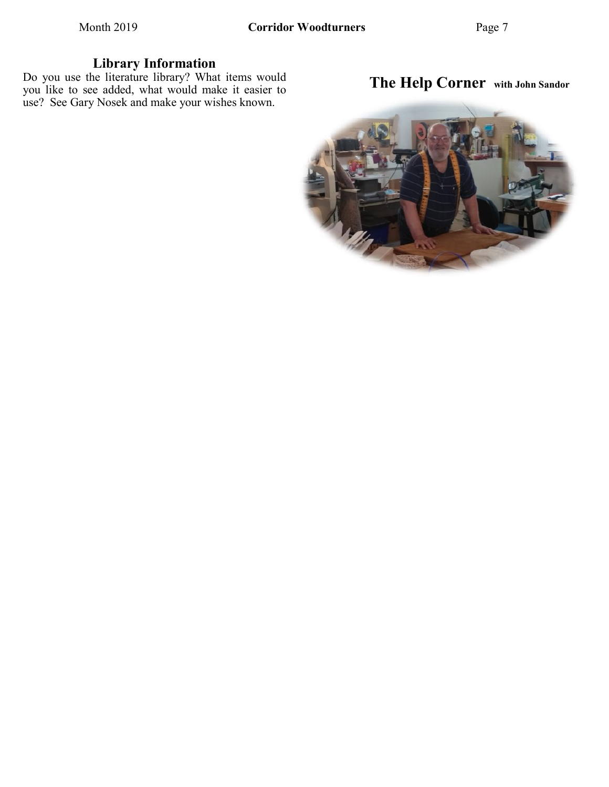### **Library Information**

Do you use the literature library? What items would you like to see added, what would make it easier to use? See Gary Nosek and make your wishes known.

# **The Help Corner with John Sandor**